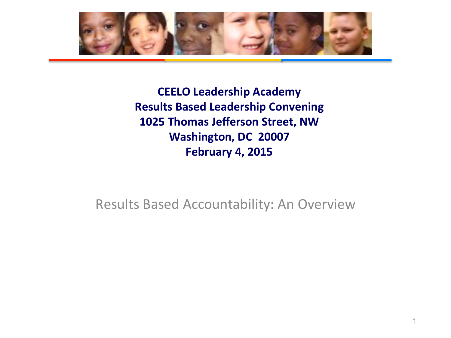

**CEELO Leadership Academy Results Based Leadership Convening 1025 Thomas Jefferson Street, NW Washington, DC 20007 February 4, 2015** 

Results Based Accountability: An Overview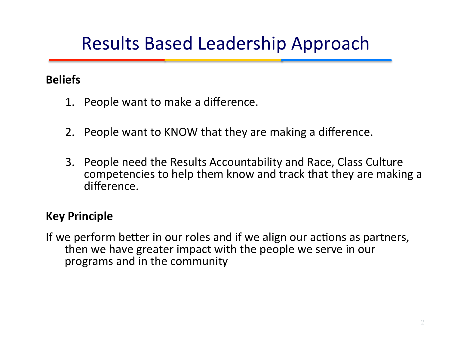## Results Based Leadership Approach

#### **Beliefs**

- 1. People want to make a difference.
- 2. People want to KNOW that they are making a difference.
- 3. People need the Results Accountability and Race, Class Culture competencies to help them know and track that they are making a difference.

#### **Key Principle**

If we perform better in our roles and if we align our actions as partners, then we have greater impact with the people we serve in our programs and in the community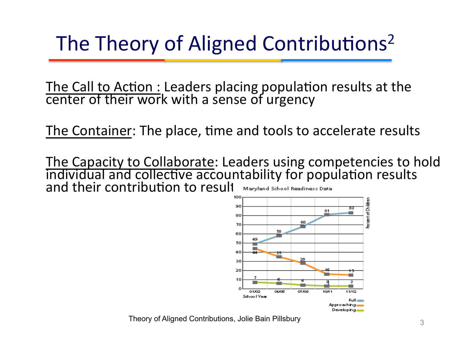# The Theory of Aligned Contributions<sup>2</sup>

The Call to Action : Leaders placing population results at the center of their work with a sense of urgency

The Container: The place, time and tools to accelerate results

The Capacity to Collaborate: Leaders using competencies to hold<br>individual and collective accountability for population results and their contribution to result Maryland School Readiness Data



Theory of Aligned Contributions, Jolie Bain Pillsbury **Contract Contributions** 3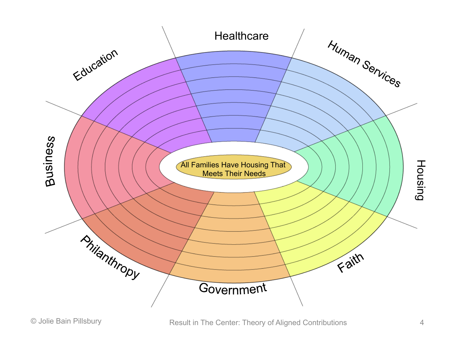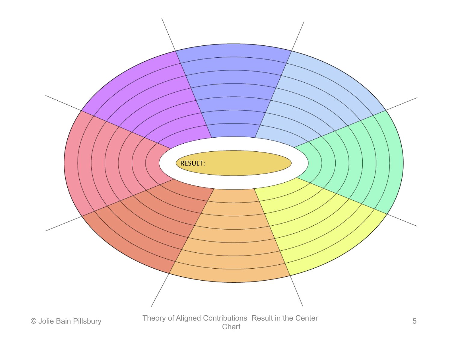

**Chart**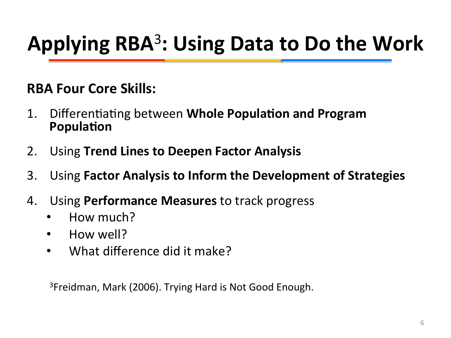# Applying RBA<sup>3</sup>: Using Data to Do the Work

#### **RBA Four Core Skills:**

- 1. Differentiating between **Whole Population and Program Population**
- 2. Using **Trend Lines to Deepen Factor Analysis**
- **3.** Using Factor Analysis to Inform the Development of Strategies
- 4. Using **Performance Measures** to track progress
	- How much?
	- How well?
	- What difference did it make?

 $3$ Freidman, Mark (2006). Trying Hard is Not Good Enough.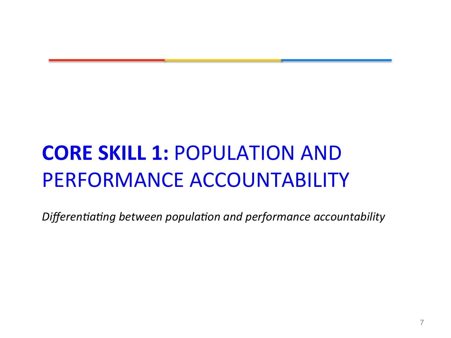# **CORE SKILL 1: POPULATION AND** PERFORMANCE ACCOUNTABILITY

Differentiating between population and performance accountability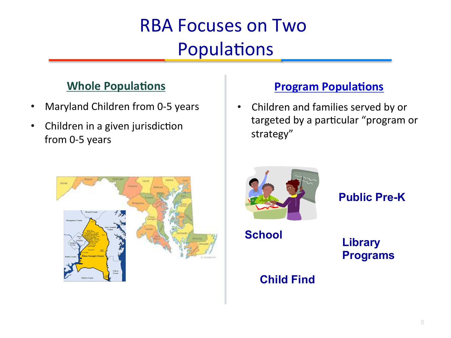## **RBA Focuses on Two** Populations

#### **Whole Populations**

- Maryland Children from 0-5 years
- Children in a given jurisdiction from 0-5 years

#### **Program Populations**

• Children and families served by or targeted by a particular "program or strategy" 





**Public Pre-K** 

**School** 

**Library Programs** 

#### **Child Find**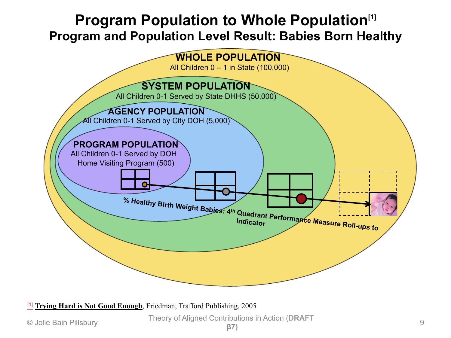#### **Program Population to Whole Population**<sup>[1]</sup> **Program and Population Level Result: Babies Born Healthy**



[1] **Trying Hard is Not Good Enough**, Friedman, Trafford Publishing, 2005

© Jolie Bain Pillsbury Theory of Aligned Contributions in Action (**DRAFT <sup>β</sup>7)** <sup>9</sup>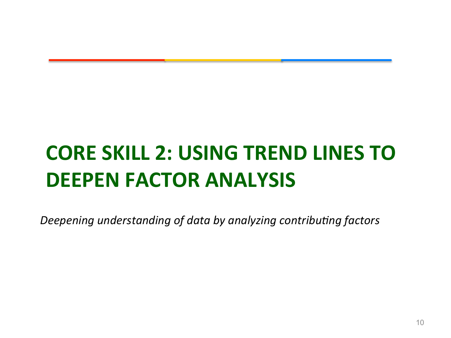# **CORE SKILL 2: USING TREND LINES TO DEEPEN FACTOR ANALYSIS**

Deepening understanding of data by analyzing contributing factors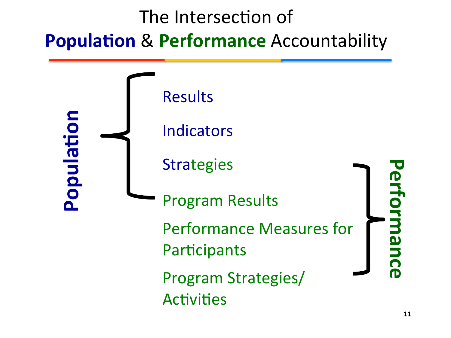## The Intersection of **Population & Performance** Accountability

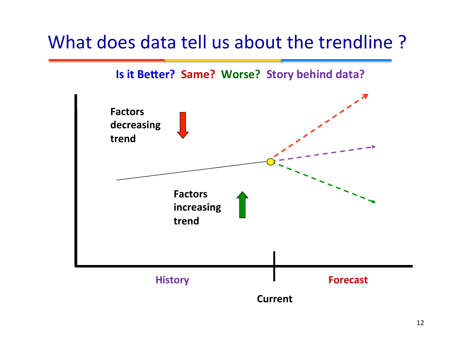### What does data tell us about the trendline?

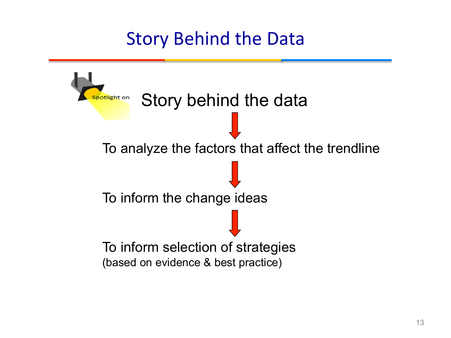### **Story Behind the Data**

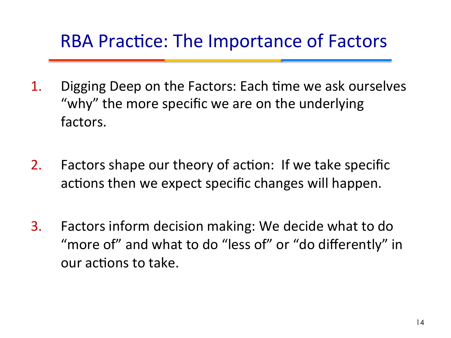### RBA Practice: The Importance of Factors

- 1. Digging Deep on the Factors: Each time we ask ourselves "why" the more specific we are on the underlying factors.
- 2. Factors shape our theory of action: If we take specific actions then we expect specific changes will happen.
- 3. Factors inform decision making: We decide what to do "more of" and what to do "less of" or "do differently" in our actions to take.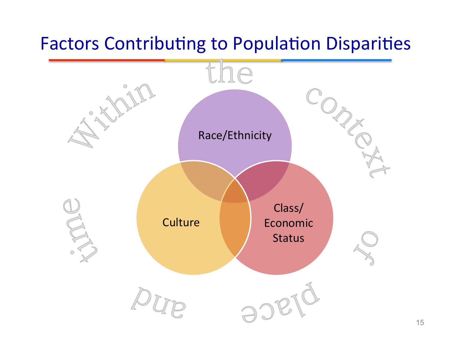### Factors Contributing to Population Disparities

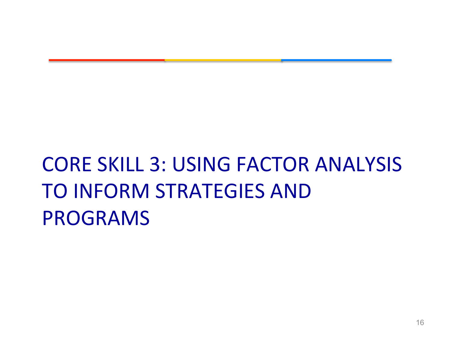# **CORE SKILL 3: USING FACTOR ANALYSIS** TO INFORM STRATEGIES AND PROGRAMS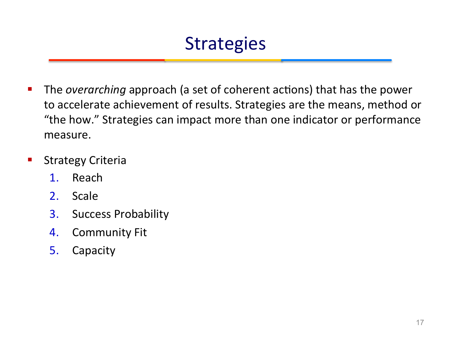### **Strategies**

- **F** The *overarching* approach (a set of coherent actions) that has the power to accelerate achievement of results. Strategies are the means, method or "the how." Strategies can impact more than one indicator or performance measure.
- Strategy Criteria
	- 1. Reach
	- 2. Scale
	- 3. Success Probability
	- 4. Community Fit
	- 5. Capacity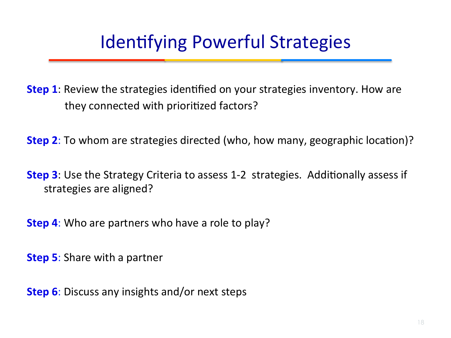### Identifying Powerful Strategies

**Step 1**: Review the strategies identified on your strategies inventory. How are they connected with prioritized factors?

**Step 2**: To whom are strategies directed (who, how many, geographic location)?

**Step 3**: Use the Strategy Criteria to assess 1-2 strategies. Additionally assess if strategies are aligned?

**Step 4:** Who are partners who have a role to play?

**Step 5:** Share with a partner

**Step 6:** Discuss any insights and/or next steps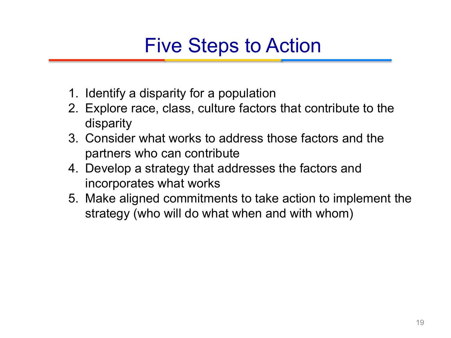## Five Steps to Action

- 1. Identify a disparity for a population
- 2. Explore race, class, culture factors that contribute to the disparity
- 3. Consider what works to address those factors and the partners who can contribute
- 4. Develop a strategy that addresses the factors and incorporates what works
- 5. Make aligned commitments to take action to implement the strategy (who will do what when and with whom)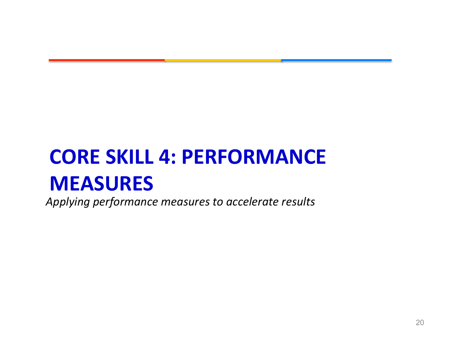# **CORE SKILL 4: PERFORMANCE MEASURES**

Applying performance measures to accelerate results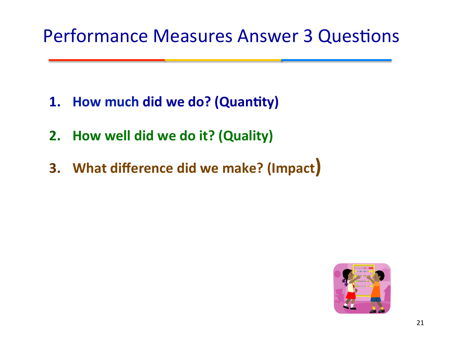### Performance Measures Answer 3 Questions

- **1.** How much did we do? (Quantity)
- **2.** How well did we do it? (Quality)
- **3.** What difference did we make? (Impact)

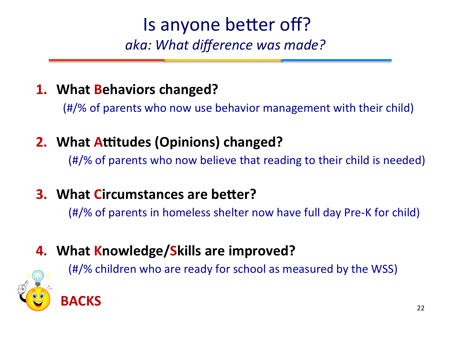### Is anyone better off? *aka: What difference was made?*

### **1.** What Behaviors changed?

 $(#$ /% of parents who now use behavior management with their child)

### **2. What Attitudes (Opinions) changed?**

**(#/%** of parents who now believe that reading to their child is needed)

### **3. What Circumstances are better?**

(#/% of parents in homeless shelter now have full day Pre-K for child)

### **4.** What Knowledge/Skills are improved?

**(#/%** children who are ready for school as measured by the WSS)